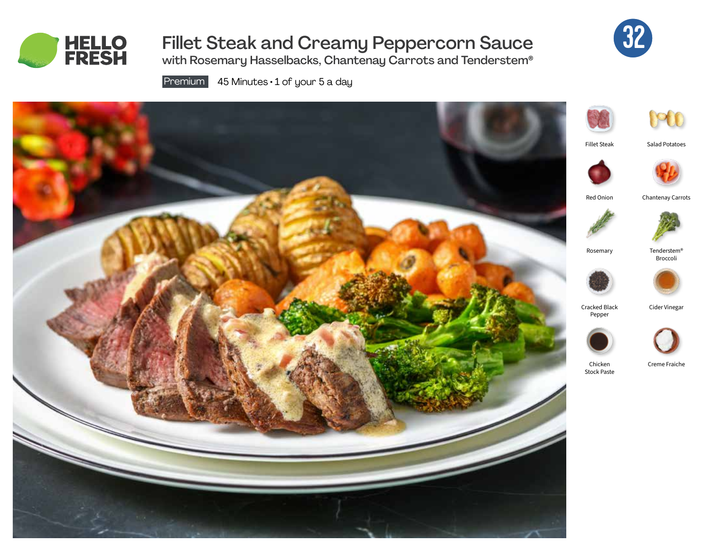

# Fillet Steak and Creamy Peppercorn Sauce



with Rosemary Hasselbacks, Chantenay Carrots and Tenderstem®

Premium  $\overline{45}$  Minutes  $\cdot$  1 of your 5 a day